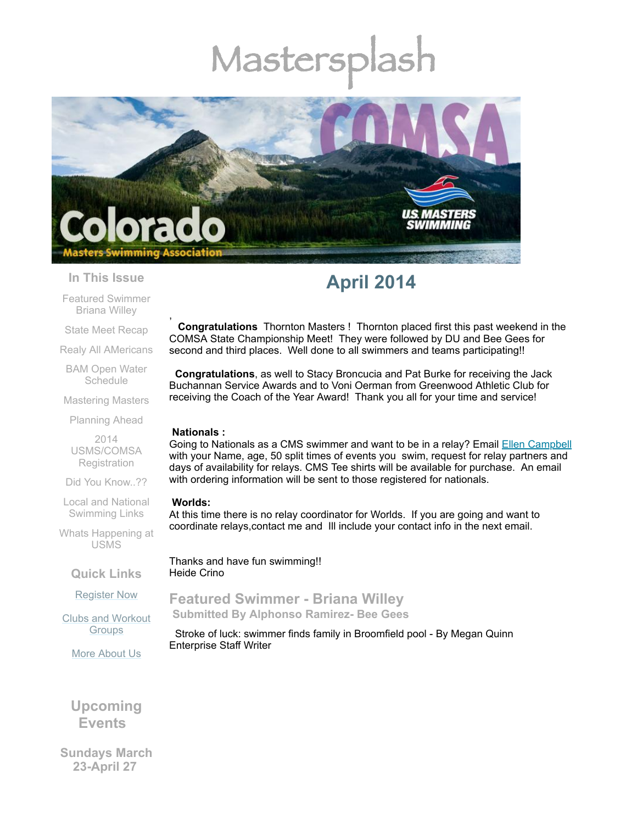# Masters



#### **In This Issue**

Featured [Swimmer](#page-0-0) Briana Willey

State Meet [Recap](#page-1-0)

Realy All [AMericans](#page-3-0)

BAM Open Water **[Schedule](#page-3-1)** 

[Mastering](#page-4-0) Masters

[Planning](#page-4-1) Ahead

2014 [USMS/COMSA](#page-4-2) **Registration** 

Did You [Know..??](#page-4-3)

Local and National [Swimming](#page-5-0) Links

Whats [Happening](#page-5-1) at USMS

**Quick Links**

[Register](http://comsa.org/joining/index.html) Now

Clubs and [Workout](http://comsa.org/clubs/index.html) **Groups** 

More [About](http://comsa.org/) Us

### **Upcoming Events**

**Sundays March 23-April 27**

## **April 2014**

, **Congratulations** Thornton Masters ! Thornton placed first this past weekend in the COMSA State Championship Meet! They were followed by DU and Bee Gees for second and third places. Well done to all swimmers and teams participating!!

**Congratulations**, as well to Stacy Broncucia and Pat Burke for receiving the Jack Buchannan Service Awards and to Voni Oerman from Greenwood Athletic Club for receiving the Coach of the Year Award! Thank you all for your time and service!

#### **Nationals :**

Going to Nationals as a CMS swimmer and want to be in a relay? Email Ellen [Campbell](mailto:coloradotriclub@comcast.net) with your Name, age, 50 split times of events you swim, request for relay partners and days of availability for relays. CMS Tee shirts will be available for purchase. An email with ordering information will be sent to those registered for nationals.

#### **Worlds:**

At this time there is no relay coordinator for Worlds. If you are going and want to coordinate relays,contact me and Ill include your contact info in the next email.

Thanks and have fun swimming!! Heide Crino

<span id="page-0-0"></span>**Featured Swimmer - Briana Willey Submitted By Alphonso Ramirez- Bee Gees**

Stroke of luck: swimmer finds family in Broomfield pool - By Megan Quinn Enterprise Staff Writer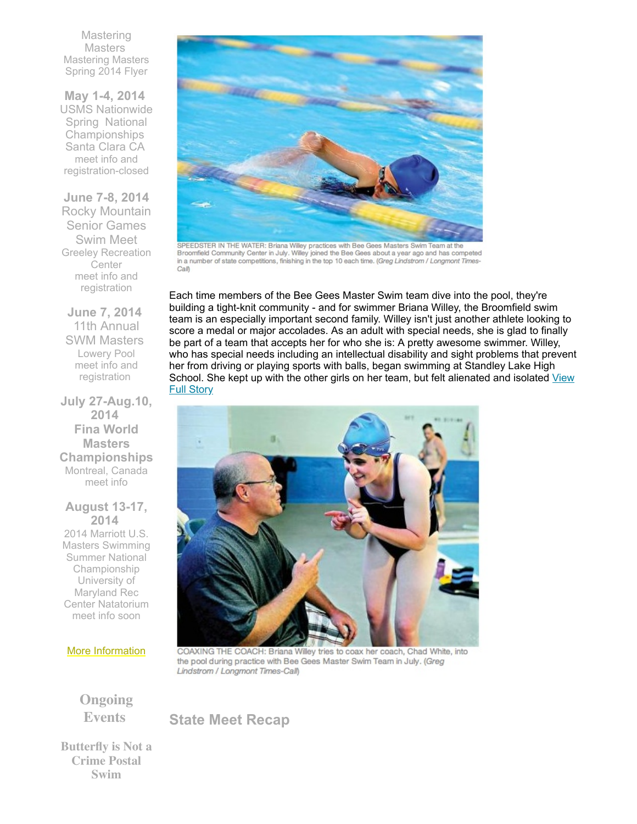**Mastering Masters** [Mastering](https://origin.library.constantcontact.com/doc201/1108936408185/doc/5gp5QBuPKPAjKCzw.doc) Masters Spring 2014 Flyer

**May 1-4, 2014** USMS Nationwide Spring National Championships Santa Clara CA meet info and [registration-clos](http://www.usms.org/comp/scnats14/)ed

**June 7-8, 2014** Rocky Mountain Senior Games Swim Meet Greeley Recreation **Center** meet info and [registration](http://rockymountainseniorgames.com/registration.html)

**June 7, 2014** 11th Annual SWM Masters Lowery Pool meet info and [registration](http://www.comsa.org/events/2014%20pool/2014SWMMastersInvite.pdf?c=1279&smid=5102)

**July 27-Aug.10, 2014 Fina World Masters Championships** Montreal, Canada [meet](http://finamasters2014.org/home/) info

**August 13-17, 2014** 2014 Marriott U.S. Masters Swimming Summer National Championship University of Maryland Rec Center Natatorium meet info soon



SPEEDSTER IN THE WATER: Briana Willey practices with Bee Gees Masters Swim Team at the<br>Broomfield Community Center in July. Willey joined the Bee Gees about a year ago and has competed in a number of state competitions, finishing in the top 10 each time. (Greg Lindstrom / Longmont Times-Call)

Each time members of the Bee Gees Master Swim team dive into the pool, they're building a tight-knit community - and for swimmer Briana Willey, the Broomfield swim team is an especially important second family. Willey isn't just another athlete looking to score a medal or major accolades. As an adult with special needs, she is glad to finally be part of a team that accepts her for who she is: A pretty awesome swimmer. Willey, who has special needs including an intellectual disability and sight problems that prevent her from driving or playing sports with balls, began swimming at Standley Lake High School. She kept up with the other girls on her team, but felt [alienated](http://www.broomfieldenterprise.com/ci_23984065/stroke-luck-swimmer-finds-family-broomfield-pool?source=email) and isolated View Full Story



COAXING THE COACH: Briana Willey tries to coax her coach, Chad White, into the pool during practice with Bee Gees Master Swim Team in July. (Greg Lindstrom / Longmont Times-Call)

**Ongoing Events**

More [Information](http://www.comsa.org/)

<span id="page-1-0"></span>**State Meet Recap**

**Butterfly is Not a Crime Postal Swim**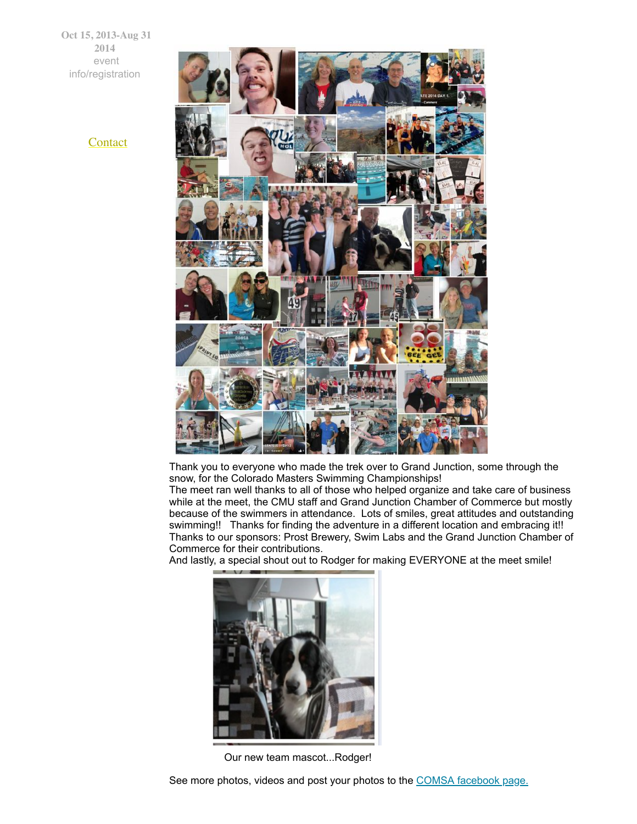**Oct 15, 2013-Aug 31 2014** event [info/registration](http://swimflyfast.com/)



Thank you to everyone who made the trek over to Grand Junction, some through the snow, for the Colorado Masters Swimming Championships!

The meet ran well thanks to all of those who helped organize and take care of business while at the meet, the CMU staff and Grand Junction Chamber of Commerce but mostly because of the swimmers in attendance. Lots of smiles, great attitudes and outstanding swimming!! Thanks for finding the adventure in a different location and embracing it!! Thanks to our sponsors: Prost Brewery, Swim Labs and the Grand Junction Chamber of Commerce for their contributions.

And lastly, a special shout out to Rodger for making EVERYONE at the meet smile!



Our new team mascot...Rodger!

See more photos, videos and post your photos to the COMSA [facebook](https://www.facebook.com/ComsaSwimmers?ref=hl) page.

**[Contact](mailto:heidecrino@gmail.com?)**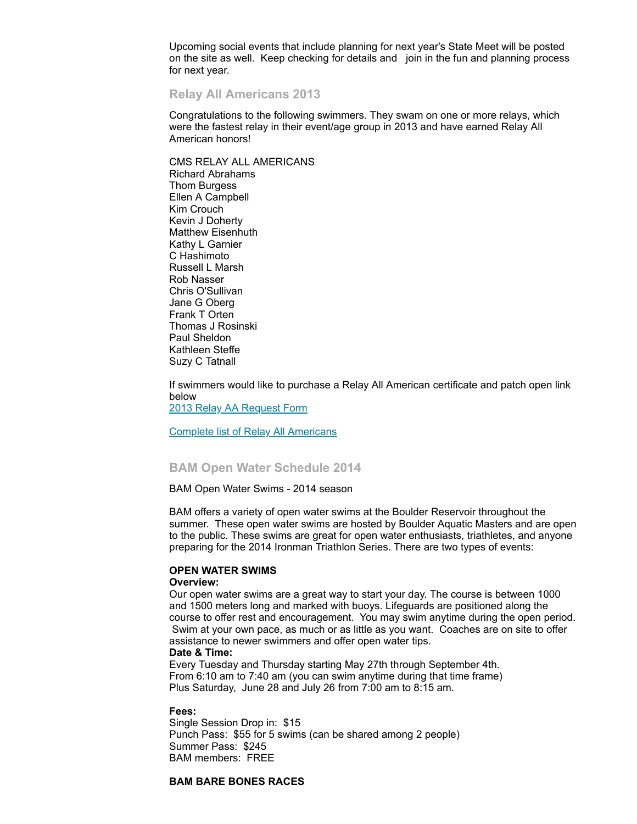Upcoming social events that include planning for next year's State Meet will be posted on the site as well. Keep checking for details and join in the fun and planning process for next year.

#### <span id="page-3-0"></span>**Relay All Americans 2013**

Congratulations to the following swimmers. They swam on one or more relays, which were the fastest relay in their event/age group in 2013 and have earned Relay All American honors!

CMS RELAY ALL AMERICANS Richard Abrahams Thom Burgess Ellen A Campbell Kim Crouch Kevin J Doherty Matthew Eisenhuth Kathy L Garnier C Hashimoto Russell L Marsh Rob Nasser Chris O'Sullivan Jane G Oberg Frank T Orten Thomas J Rosinski Paul Sheldon Kathleen Steffe Suzy C Tatnall

If swimmers would like to purchase a Relay All American certificate and patch open link below

2013 Relay AA [Request](https://origin.library.constantcontact.com/doc201/1108936408185/doc/abvLSHcvk7uWkmA3.doc) Form

Complete list of Relay All [Americans](https://origin.library.constantcontact.com/doc201/1108936408185/doc/OO6xQnT99sMfy0dC.pdf)

#### <span id="page-3-1"></span>**BAM Open Water Schedule 2014**

BAM Open Water Swims - 2014 season

BAM offers a variety of open water swims at the Boulder Reservoir throughout the summer. These open water swims are hosted by Boulder Aquatic Masters and are open to the public. These swims are great for open water enthusiasts, triathletes, and anyone preparing for the 2014 Ironman Triathlon Series. There are two types of events:

#### **OPEN WATER SWIMS**

#### **Overview:**

Our open water swims are a great way to start your day. The course is between 1000 and 1500 meters long and marked with buoys. Lifeguards are positioned along the course to offer rest and encouragement. You may swim anytime during the open period. Swim at your own pace, as much or as little as you want. Coaches are on site to offer assistance to newer swimmers and offer open water tips.

#### **Date & Time:**

Every Tuesday and Thursday starting May 27th through September 4th. From 6:10 am to 7:40 am (you can swim anytime during that time frame) Plus Saturday, June 28 and July 26 from 7:00 am to 8:15 am.

#### **Fees:**

Single Session Drop in: \$15 Punch Pass: \$55 for 5 swims (can be shared among 2 people) Summer Pass: \$245 BAM members: FREE

#### **BAM BARE BONES RACES**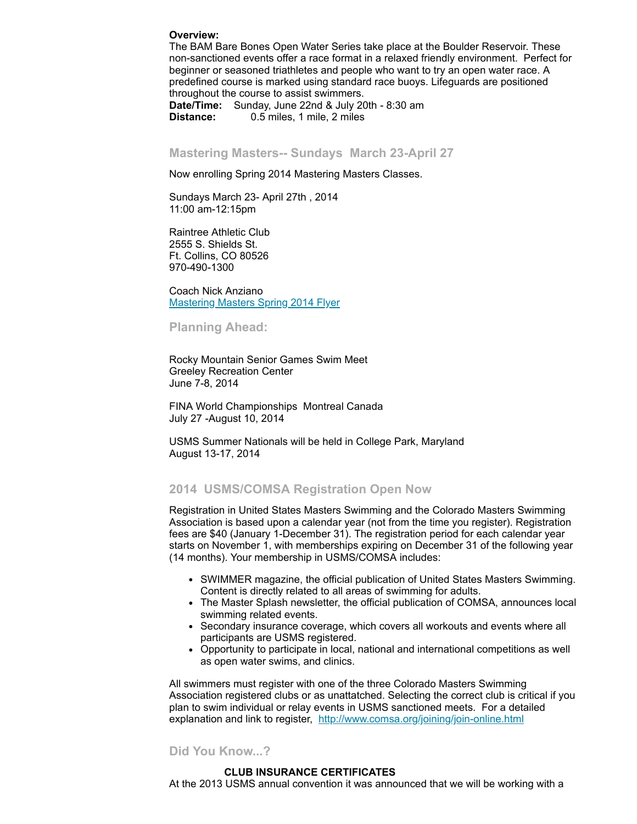#### **Overview:**

The BAM Bare Bones Open Water Series take place at the Boulder Reservoir. These non-sanctioned events offer a race format in a relaxed friendly environment. Perfect for beginner or seasoned triathletes and people who want to try an open water race. A predefined course is marked using standard race buoys. Lifeguards are positioned throughout the course to assist swimmers.

**Date/Time:** Sunday, June 22nd & July 20th - 8:30 am **Distance:** 0.5 miles, 1 mile, 2 miles

#### <span id="page-4-0"></span>**Mastering Masters-- Sundays March 23-April 27**

Now enrolling Spring 2014 Mastering Masters Classes.

Sundays March 23- April 27th , 2014 11:00 am-12:15pm

Raintree Athletic Club 2555 S. Shields St. Ft. Collins, CO 80526 970-490-1300

Coach Nick Anziano [Mastering](https://origin.library.constantcontact.com/doc201/1108936408185/doc/5gp5QBuPKPAjKCzw.doc) Masters Spring 2014 Flyer

#### <span id="page-4-1"></span>**Planning Ahead:**

Rocky Mountain Senior Games Swim Meet Greeley Recreation Center June 7-8, 2014

FINA World Championships Montreal Canada July 27 -August 10, 2014

USMS Summer Nationals will be held in College Park, Maryland August 13-17, 2014

#### <span id="page-4-2"></span>**2014 USMS/COMSA Registration Open Now**

Registration in United States Masters Swimming and the Colorado Masters Swimming Association is based upon a calendar year (not from the time you register). Registration fees are \$40 (January 1-December 31). The registration period for each calendar year starts on November 1, with memberships expiring on December 31 of the following year (14 months). Your membership in USMS/COMSA includes:

- SWIMMER magazine, the official publication of United States Masters Swimming. Content is directly related to all areas of swimming for adults.
- The Master Splash newsletter, the official publication of COMSA, announces local swimming related events.
- Secondary insurance coverage, which covers all workouts and events where all participants are USMS registered.
- Opportunity to participate in local, national and international competitions as well as open water swims, and clinics.

All swimmers must register with one of the three Colorado Masters Swimming Association registered clubs or as unattatched. Selecting the correct club is critical if you plan to swim individual or relay events in USMS sanctioned meets. For a detailed explanation and link to register, <http://www.comsa.org/joining/join-online.html>

#### <span id="page-4-3"></span>**Did You Know...?**

#### **CLUB INSURANCE CERTIFICATES**

At the 2013 USMS annual convention it was announced that we will be working with a